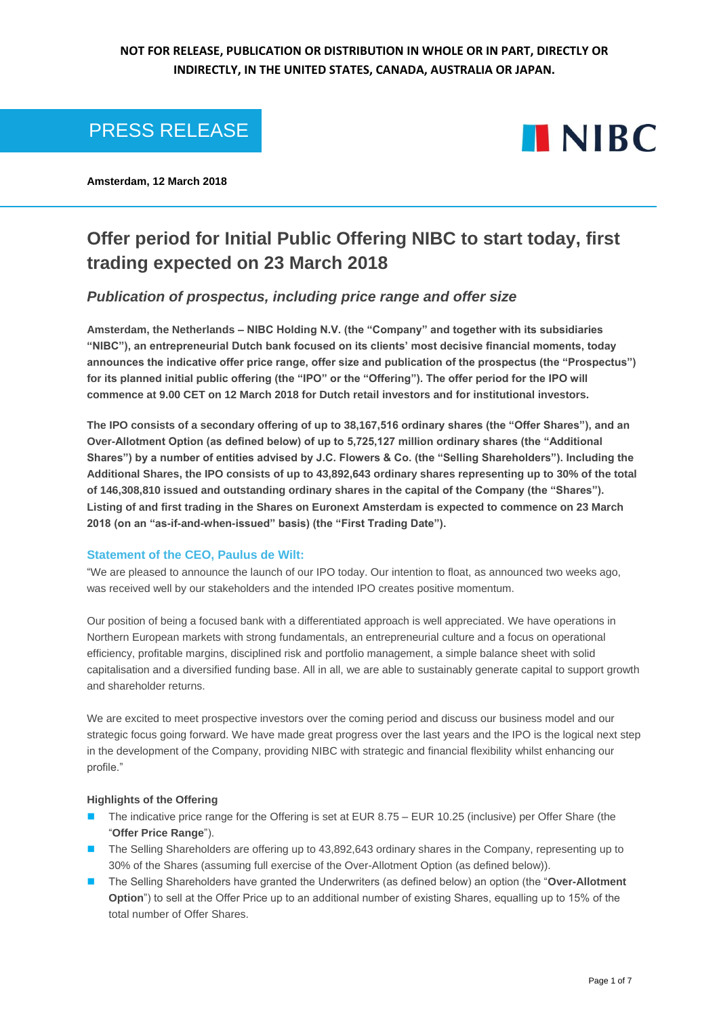# PRESS RELEASE



**Amsterdam, 12 March 2018**

# **Offer period for Initial Public Offering NIBC to start today, first trading expected on 23 March 2018**

# *Publication of prospectus, including price range and offer size*

**Amsterdam, the Netherlands – NIBC Holding N.V. (the "Company" and together with its subsidiaries "NIBC"), an entrepreneurial Dutch bank focused on its clients' most decisive financial moments, today announces the indicative offer price range, offer size and publication of the prospectus (the "Prospectus") for its planned initial public offering (the "IPO" or the "Offering"). The offer period for the IPO will commence at 9.00 CET on 12 March 2018 for Dutch retail investors and for institutional investors.**

**The IPO consists of a secondary offering of up to 38,167,516 ordinary shares (the "Offer Shares"), and an Over-Allotment Option (as defined below) of up to 5,725,127 million ordinary shares (the "Additional Shares") by a number of entities advised by J.C. Flowers & Co. (the "Selling Shareholders"). Including the Additional Shares, the IPO consists of up to 43,892,643 ordinary shares representing up to 30% of the total of 146,308,810 issued and outstanding ordinary shares in the capital of the Company (the "Shares"). Listing of and first trading in the Shares on Euronext Amsterdam is expected to commence on 23 March 2018 (on an "as-if-and-when-issued" basis) (the "First Trading Date").**

### **Statement of the CEO, Paulus de Wilt:**

"We are pleased to announce the launch of our IPO today. Our intention to float, as announced two weeks ago, was received well by our stakeholders and the intended IPO creates positive momentum.

Our position of being a focused bank with a differentiated approach is well appreciated. We have operations in Northern European markets with strong fundamentals, an entrepreneurial culture and a focus on operational efficiency, profitable margins, disciplined risk and portfolio management, a simple balance sheet with solid capitalisation and a diversified funding base. All in all, we are able to sustainably generate capital to support growth and shareholder returns.

We are excited to meet prospective investors over the coming period and discuss our business model and our strategic focus going forward. We have made great progress over the last years and the IPO is the logical next step in the development of the Company, providing NIBC with strategic and financial flexibility whilst enhancing our profile."

#### **Highlights of the Offering**

- The indicative price range for the Offering is set at EUR 8.75 EUR 10.25 (inclusive) per Offer Share (the "**Offer Price Range**").
- The Selling Shareholders are offering up to 43,892,643 ordinary shares in the Company, representing up to 30% of the Shares (assuming full exercise of the Over-Allotment Option (as defined below)).
- The Selling Shareholders have granted the Underwriters (as defined below) an option (the "**Over-Allotment Option**") to sell at the Offer Price up to an additional number of existing Shares, equalling up to 15% of the total number of Offer Shares.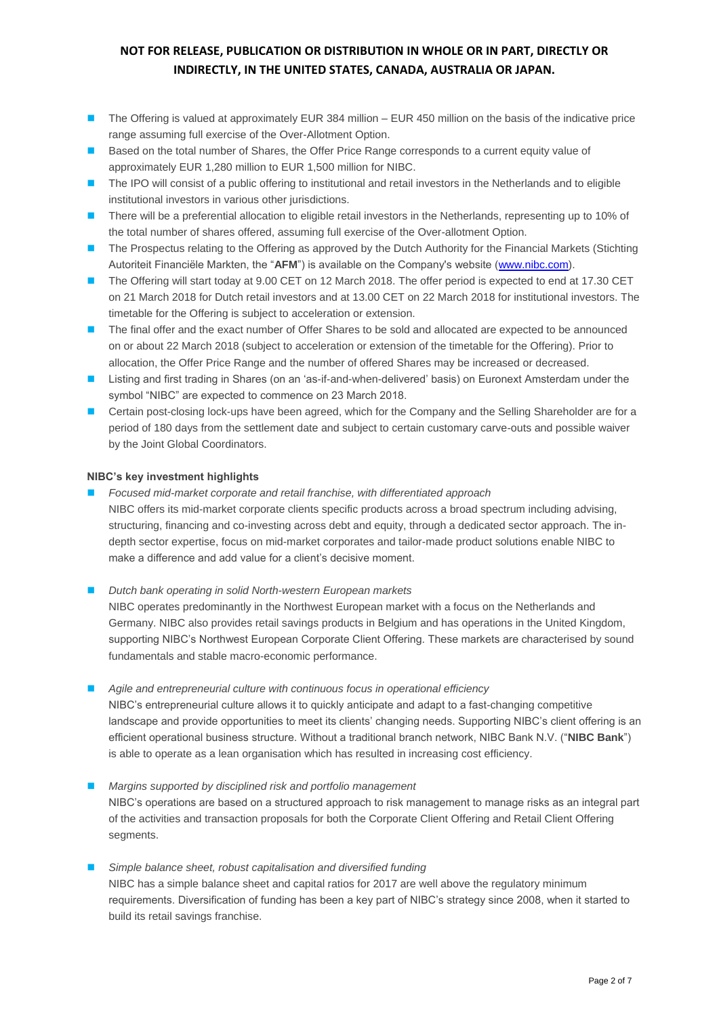- The Offering is valued at approximately EUR 384 million EUR 450 million on the basis of the indicative price range assuming full exercise of the Over-Allotment Option.
- Based on the total number of Shares, the Offer Price Range corresponds to a current equity value of approximately EUR 1,280 million to EUR 1,500 million for NIBC.
- The IPO will consist of a public offering to institutional and retail investors in the Netherlands and to eligible institutional investors in various other jurisdictions.
- There will be a preferential allocation to eligible retail investors in the Netherlands, representing up to 10% of the total number of shares offered, assuming full exercise of the Over-allotment Option.
- The Prospectus relating to the Offering as approved by the Dutch Authority for the Financial Markets (Stichting Autoriteit Financiële Markten, the "**AFM**") is available on the Company's website [\(www.nibc.com\)](http://www.nibc.com/).
- The Offering will start today at 9.00 CET on 12 March 2018. The offer period is expected to end at 17.30 CET on 21 March 2018 for Dutch retail investors and at 13.00 CET on 22 March 2018 for institutional investors. The timetable for the Offering is subject to acceleration or extension.
- The final offer and the exact number of Offer Shares to be sold and allocated are expected to be announced on or about 22 March 2018 (subject to acceleration or extension of the timetable for the Offering). Prior to allocation, the Offer Price Range and the number of offered Shares may be increased or decreased.
- Listing and first trading in Shares (on an 'as-if-and-when-delivered' basis) on Euronext Amsterdam under the symbol "NIBC" are expected to commence on 23 March 2018.
- **Certain post-closing lock-ups have been agreed, which for the Company and the Selling Shareholder are for a** period of 180 days from the settlement date and subject to certain customary carve-outs and possible waiver by the Joint Global Coordinators.

#### **NIBC's key investment highlights**

 *Focused mid-market corporate and retail franchise, with differentiated approach* NIBC offers its mid-market corporate clients specific products across a broad spectrum including advising, structuring, financing and co-investing across debt and equity, through a dedicated sector approach. The indepth sector expertise, focus on mid-market corporates and tailor-made product solutions enable NIBC to make a difference and add value for a client's decisive moment.

*Dutch bank operating in solid North-western European markets*

NIBC operates predominantly in the Northwest European market with a focus on the Netherlands and Germany. NIBC also provides retail savings products in Belgium and has operations in the United Kingdom, supporting NIBC's Northwest European Corporate Client Offering. These markets are characterised by sound fundamentals and stable macro-economic performance.

*Agile and entrepreneurial culture with continuous focus in operational efficiency*

NIBC's entrepreneurial culture allows it to quickly anticipate and adapt to a fast-changing competitive landscape and provide opportunities to meet its clients' changing needs. Supporting NIBC's client offering is an efficient operational business structure. Without a traditional branch network, NIBC Bank N.V. ("**NIBC Bank**") is able to operate as a lean organisation which has resulted in increasing cost efficiency.

- *Margins supported by disciplined risk and portfolio management* NIBC's operations are based on a structured approach to risk management to manage risks as an integral part of the activities and transaction proposals for both the Corporate Client Offering and Retail Client Offering segments.
- *Simple balance sheet, robust capitalisation and diversified funding* NIBC has a simple balance sheet and capital ratios for 2017 are well above the regulatory minimum requirements. Diversification of funding has been a key part of NIBC's strategy since 2008, when it started to build its retail savings franchise.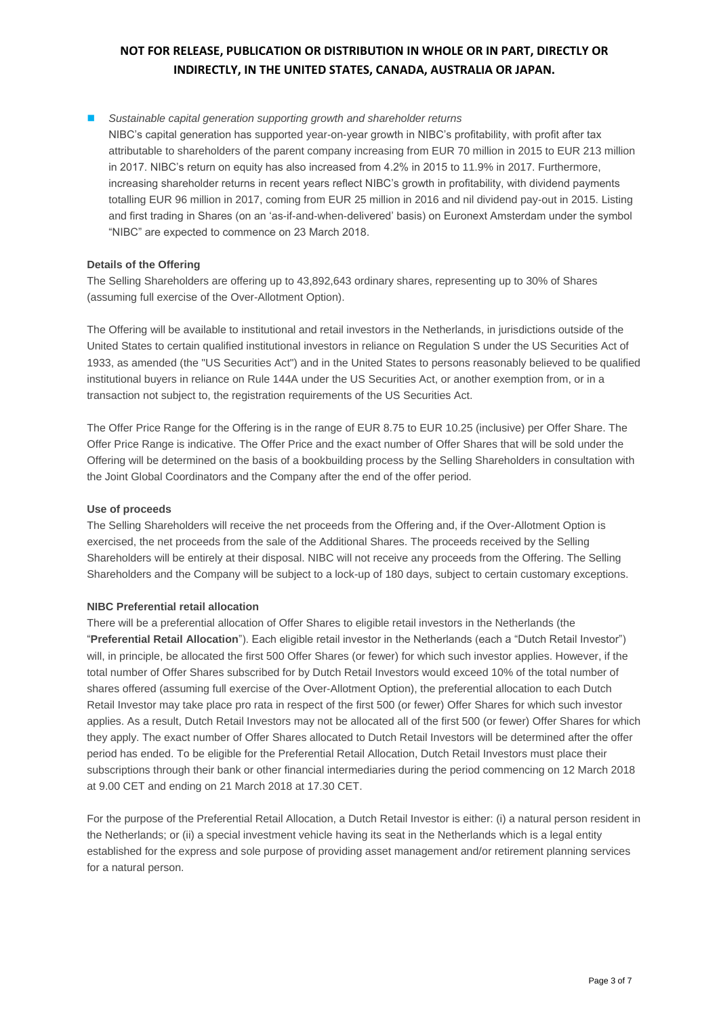#### *Sustainable capital generation supporting growth and shareholder returns*

NIBC's capital generation has supported year-on-year growth in NIBC's profitability, with profit after tax attributable to shareholders of the parent company increasing from EUR 70 million in 2015 to EUR 213 million in 2017. NIBC's return on equity has also increased from 4.2% in 2015 to 11.9% in 2017. Furthermore, increasing shareholder returns in recent years reflect NIBC's growth in profitability, with dividend payments totalling EUR 96 million in 2017, coming from EUR 25 million in 2016 and nil dividend pay-out in 2015. Listing and first trading in Shares (on an 'as-if-and-when-delivered' basis) on Euronext Amsterdam under the symbol "NIBC" are expected to commence on 23 March 2018.

### **Details of the Offering**

The Selling Shareholders are offering up to 43,892,643 ordinary shares, representing up to 30% of Shares (assuming full exercise of the Over-Allotment Option).

The Offering will be available to institutional and retail investors in the Netherlands, in jurisdictions outside of the United States to certain qualified institutional investors in reliance on Regulation S under the US Securities Act of 1933, as amended (the "US Securities Act") and in the United States to persons reasonably believed to be qualified institutional buyers in reliance on Rule 144A under the US Securities Act, or another exemption from, or in a transaction not subject to, the registration requirements of the US Securities Act.

The Offer Price Range for the Offering is in the range of EUR 8.75 to EUR 10.25 (inclusive) per Offer Share. The Offer Price Range is indicative. The Offer Price and the exact number of Offer Shares that will be sold under the Offering will be determined on the basis of a bookbuilding process by the Selling Shareholders in consultation with the Joint Global Coordinators and the Company after the end of the offer period.

#### **Use of proceeds**

The Selling Shareholders will receive the net proceeds from the Offering and, if the Over-Allotment Option is exercised, the net proceeds from the sale of the Additional Shares. The proceeds received by the Selling Shareholders will be entirely at their disposal. NIBC will not receive any proceeds from the Offering. The Selling Shareholders and the Company will be subject to a lock-up of 180 days, subject to certain customary exceptions.

### **NIBC Preferential retail allocation**

There will be a preferential allocation of Offer Shares to eligible retail investors in the Netherlands (the "**Preferential Retail Allocation**"). Each eligible retail investor in the Netherlands (each a "Dutch Retail Investor") will, in principle, be allocated the first 500 Offer Shares (or fewer) for which such investor applies. However, if the total number of Offer Shares subscribed for by Dutch Retail Investors would exceed 10% of the total number of shares offered (assuming full exercise of the Over-Allotment Option), the preferential allocation to each Dutch Retail Investor may take place pro rata in respect of the first 500 (or fewer) Offer Shares for which such investor applies. As a result, Dutch Retail Investors may not be allocated all of the first 500 (or fewer) Offer Shares for which they apply. The exact number of Offer Shares allocated to Dutch Retail Investors will be determined after the offer period has ended. To be eligible for the Preferential Retail Allocation, Dutch Retail Investors must place their subscriptions through their bank or other financial intermediaries during the period commencing on 12 March 2018 at 9.00 CET and ending on 21 March 2018 at 17.30 CET.

For the purpose of the Preferential Retail Allocation, a Dutch Retail Investor is either: (i) a natural person resident in the Netherlands; or (ii) a special investment vehicle having its seat in the Netherlands which is a legal entity established for the express and sole purpose of providing asset management and/or retirement planning services for a natural person.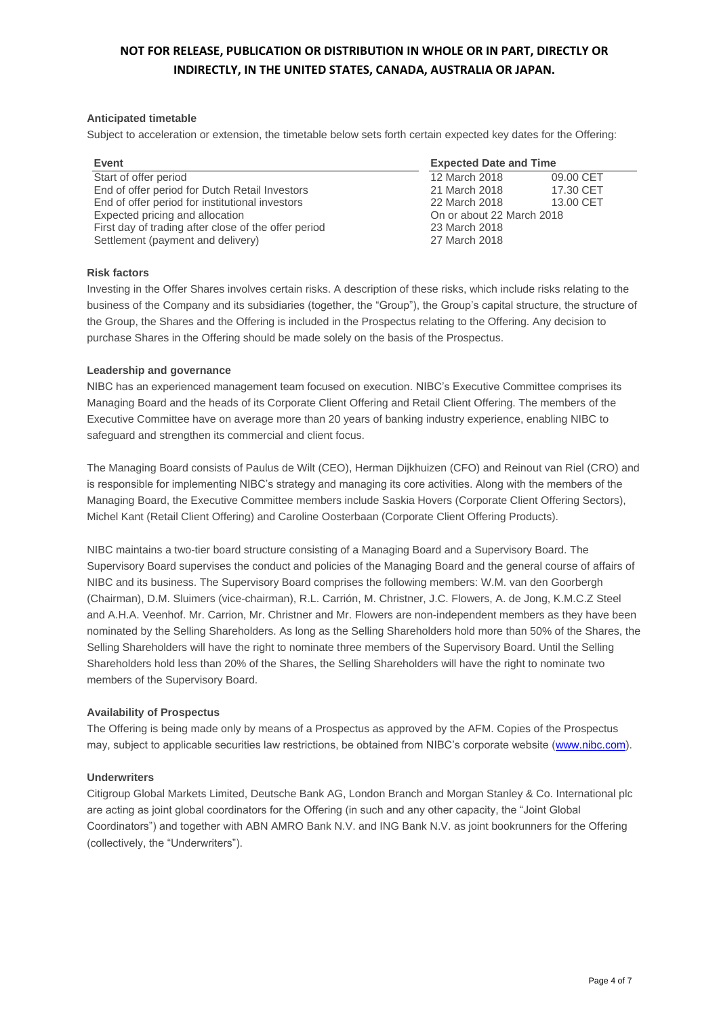#### **Anticipated timetable**

Subject to acceleration or extension, the timetable below sets forth certain expected key dates for the Offering:

| Event                                                | <b>Expected Date and Time</b> |           |
|------------------------------------------------------|-------------------------------|-----------|
| Start of offer period                                | 12 March 2018                 | 09.00 CET |
| End of offer period for Dutch Retail Investors       | 21 March 2018                 | 17.30 CET |
| End of offer period for institutional investors      | 22 March 2018                 | 13.00 CET |
| Expected pricing and allocation                      | On or about 22 March 2018     |           |
| First day of trading after close of the offer period | 23 March 2018                 |           |
| Settlement (payment and delivery)                    | 27 March 2018                 |           |

#### **Risk factors**

Investing in the Offer Shares involves certain risks. A description of these risks, which include risks relating to the business of the Company and its subsidiaries (together, the "Group"), the Group's capital structure, the structure of the Group, the Shares and the Offering is included in the Prospectus relating to the Offering. Any decision to purchase Shares in the Offering should be made solely on the basis of the Prospectus.

#### **Leadership and governance**

NIBC has an experienced management team focused on execution. NIBC's Executive Committee comprises its Managing Board and the heads of its Corporate Client Offering and Retail Client Offering. The members of the Executive Committee have on average more than 20 years of banking industry experience, enabling NIBC to safeguard and strengthen its commercial and client focus.

The Managing Board consists of Paulus de Wilt (CEO), Herman Dijkhuizen (CFO) and Reinout van Riel (CRO) and is responsible for implementing NIBC's strategy and managing its core activities. Along with the members of the Managing Board, the Executive Committee members include Saskia Hovers (Corporate Client Offering Sectors), Michel Kant (Retail Client Offering) and Caroline Oosterbaan (Corporate Client Offering Products).

NIBC maintains a two-tier board structure consisting of a Managing Board and a Supervisory Board. The Supervisory Board supervises the conduct and policies of the Managing Board and the general course of affairs of NIBC and its business. The Supervisory Board comprises the following members: W.M. van den Goorbergh (Chairman), D.M. Sluimers (vice-chairman), R.L. Carrión, M. Christner, J.C. Flowers, A. de Jong, K.M.C.Z Steel and A.H.A. Veenhof. Mr. Carrion, Mr. Christner and Mr. Flowers are non-independent members as they have been nominated by the Selling Shareholders. As long as the Selling Shareholders hold more than 50% of the Shares, the Selling Shareholders will have the right to nominate three members of the Supervisory Board. Until the Selling Shareholders hold less than 20% of the Shares, the Selling Shareholders will have the right to nominate two members of the Supervisory Board.

#### **Availability of Prospectus**

The Offering is being made only by means of a Prospectus as approved by the AFM. Copies of the Prospectus may, subject to applicable securities law restrictions, be obtained from NIBC's corporate website [\(www.nibc.com\)](http://www.nibc.com/).

#### **Underwriters**

Citigroup Global Markets Limited, Deutsche Bank AG, London Branch and Morgan Stanley & Co. International plc are acting as joint global coordinators for the Offering (in such and any other capacity, the "Joint Global Coordinators") and together with ABN AMRO Bank N.V. and ING Bank N.V. as joint bookrunners for the Offering (collectively, the "Underwriters").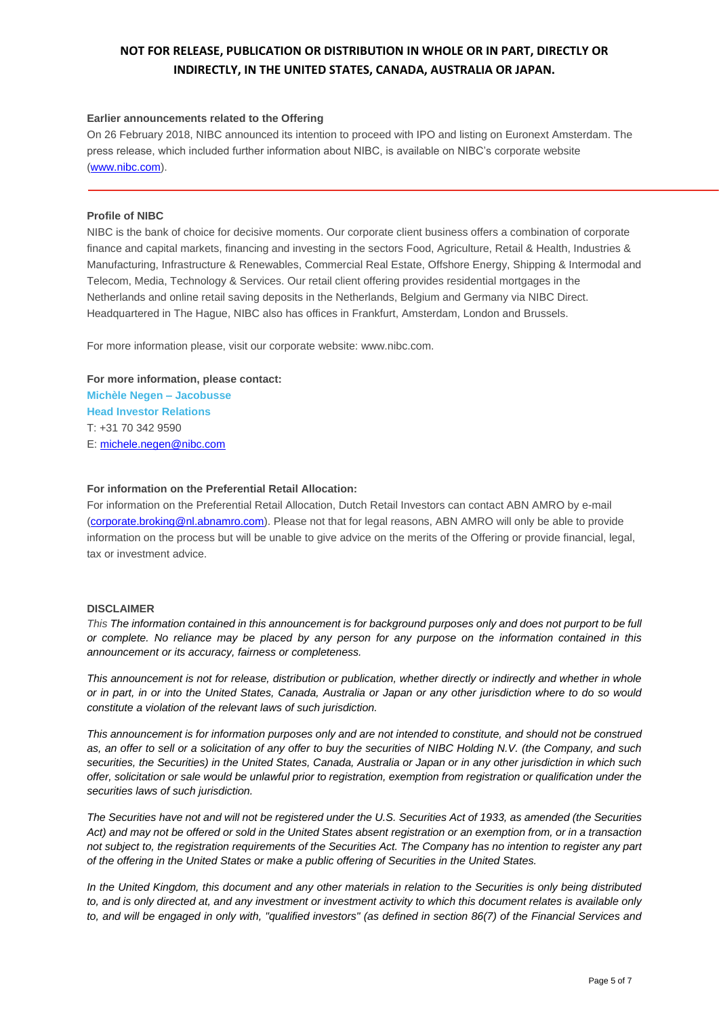#### **Earlier announcements related to the Offering**

On 26 February 2018, NIBC announced its intention to proceed with IPO and listing on Euronext Amsterdam. The press release, which included further information about NIBC, is available on NIBC's corporate website [\(www.nibc.com\)](http://www.nibc.com/).

#### **Profile of NIBC**

NIBC is the bank of choice for decisive moments. Our corporate client business offers a combination of corporate finance and capital markets, financing and investing in the sectors Food, Agriculture, Retail & Health, Industries & Manufacturing, Infrastructure & Renewables, Commercial Real Estate, Offshore Energy, Shipping & Intermodal and Telecom, Media, Technology & Services. Our retail client offering provides residential mortgages in the Netherlands and online retail saving deposits in the Netherlands, Belgium and Germany via NIBC Direct. Headquartered in The Hague, NIBC also has offices in Frankfurt, Amsterdam, London and Brussels.

For more information please, visit our corporate website: [www.nibc.com.](http://www.nibc.com/)

### **For more information, please contact: Michèle Negen – Jacobusse Head Investor Relations** T: +31 70 342 9590 E: [michele.negen@nibc.com](mailto:michele.negen@nibc.com)

#### **For information on the Preferential Retail Allocation:**

For information on the Preferential Retail Allocation, Dutch Retail Investors can contact ABN AMRO by e-mail [\(corporate.broking@nl.abnamro.com\)](mailto:corporate.broking@nl.abnamro.com). Please not that for legal reasons, ABN AMRO will only be able to provide information on the process but will be unable to give advice on the merits of the Offering or provide financial, legal, tax or investment advice.

#### **DISCLAIMER**

*This The information contained in this announcement is for background purposes only and does not purport to be full or complete. No reliance may be placed by any person for any purpose on the information contained in this announcement or its accuracy, fairness or completeness.*

*This announcement is not for release, distribution or publication, whether directly or indirectly and whether in whole or in part, in or into the United States, Canada, Australia or Japan or any other jurisdiction where to do so would constitute a violation of the relevant laws of such jurisdiction.*

*This announcement is for information purposes only and are not intended to constitute, and should not be construed as, an offer to sell or a solicitation of any offer to buy the securities of NIBC Holding N.V. (the Company, and such securities, the Securities) in the United States, Canada, Australia or Japan or in any other jurisdiction in which such offer, solicitation or sale would be unlawful prior to registration, exemption from registration or qualification under the securities laws of such jurisdiction.*

*The Securities have not and will not be registered under the U.S. Securities Act of 1933, as amended (the Securities Act) and may not be offered or sold in the United States absent registration or an exemption from, or in a transaction not subject to, the registration requirements of the Securities Act. The Company has no intention to register any part of the offering in the United States or make a public offering of Securities in the United States.*

*In the United Kingdom, this document and any other materials in relation to the Securities is only being distributed to, and is only directed at, and any investment or investment activity to which this document relates is available only to, and will be engaged in only with, "qualified investors" (as defined in section 86(7) of the Financial Services and*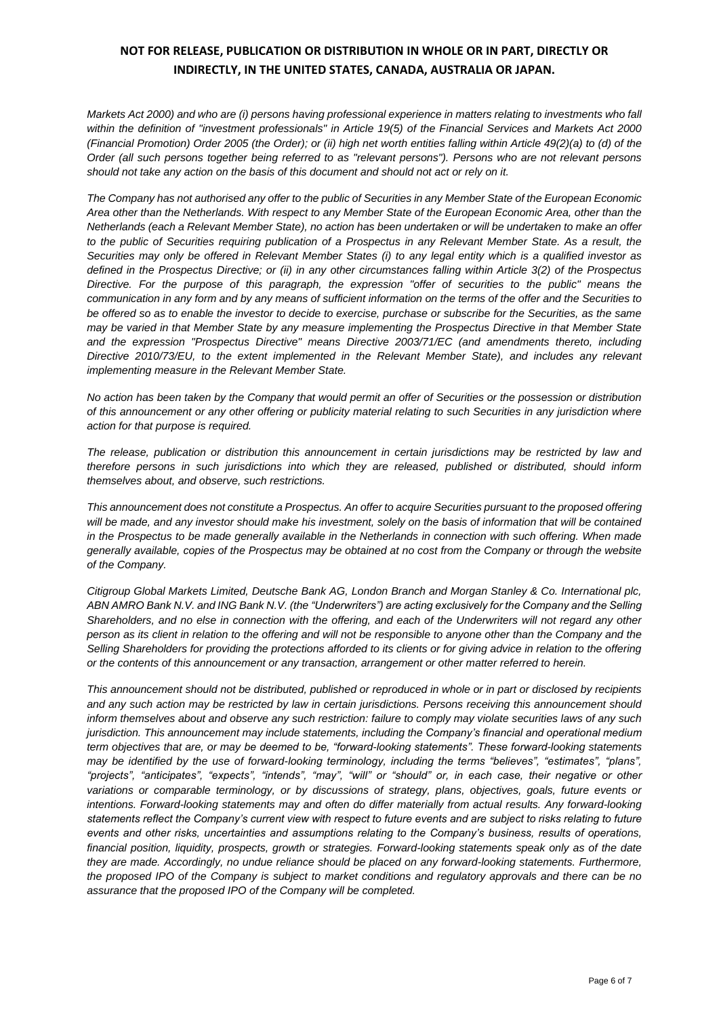*Markets Act 2000) and who are (i) persons having professional experience in matters relating to investments who fall within the definition of "investment professionals" in Article 19(5) of the Financial Services and Markets Act 2000 (Financial Promotion) Order 2005 (the Order); or (ii) high net worth entities falling within Article 49(2)(a) to (d) of the Order (all such persons together being referred to as "relevant persons"). Persons who are not relevant persons should not take any action on the basis of this document and should not act or rely on it.* 

*The Company has not authorised any offer to the public of Securities in any Member State of the European Economic Area other than the Netherlands. With respect to any Member State of the European Economic Area, other than the Netherlands (each a Relevant Member State), no action has been undertaken or will be undertaken to make an offer to the public of Securities requiring publication of a Prospectus in any Relevant Member State. As a result, the Securities may only be offered in Relevant Member States (i) to any legal entity which is a qualified investor as defined in the Prospectus Directive; or (ii) in any other circumstances falling within Article 3(2) of the Prospectus Directive. For the purpose of this paragraph, the expression "offer of securities to the public" means the communication in any form and by any means of sufficient information on the terms of the offer and the Securities to be offered so as to enable the investor to decide to exercise, purchase or subscribe for the Securities, as the same may be varied in that Member State by any measure implementing the Prospectus Directive in that Member State and the expression "Prospectus Directive" means Directive 2003/71/EC (and amendments thereto, including Directive 2010/73/EU, to the extent implemented in the Relevant Member State), and includes any relevant implementing measure in the Relevant Member State.*

*No action has been taken by the Company that would permit an offer of Securities or the possession or distribution of this announcement or any other offering or publicity material relating to such Securities in any jurisdiction where action for that purpose is required.*

*The release, publication or distribution this announcement in certain jurisdictions may be restricted by law and therefore persons in such jurisdictions into which they are released, published or distributed, should inform themselves about, and observe, such restrictions.*

*This announcement does not constitute a Prospectus. An offer to acquire Securities pursuant to the proposed offering*  will be made, and any investor should make his investment, solely on the basis of information that will be contained in the Prospectus to be made generally available in the Netherlands in connection with such offering. When made *generally available, copies of the Prospectus may be obtained at no cost from the Company or through the website of the Company.*

*Citigroup Global Markets Limited, Deutsche Bank AG, London Branch and Morgan Stanley & Co. International plc, ABN AMRO Bank N.V. and ING Bank N.V. (the "Underwriters") are acting exclusively for the Company and the Selling Shareholders, and no else in connection with the offering, and each of the Underwriters will not regard any other person as its client in relation to the offering and will not be responsible to anyone other than the Company and the Selling Shareholders for providing the protections afforded to its clients or for giving advice in relation to the offering or the contents of this announcement or any transaction, arrangement or other matter referred to herein.*

*This announcement should not be distributed, published or reproduced in whole or in part or disclosed by recipients and any such action may be restricted by law in certain jurisdictions. Persons receiving this announcement should inform themselves about and observe any such restriction: failure to comply may violate securities laws of any such jurisdiction. This announcement may include statements, including the Company's financial and operational medium term objectives that are, or may be deemed to be, "forward-looking statements". These forward-looking statements may be identified by the use of forward-looking terminology, including the terms "believes", "estimates", "plans", "projects", "anticipates", "expects", "intends", "may", "will" or "should" or, in each case, their negative or other variations or comparable terminology, or by discussions of strategy, plans, objectives, goals, future events or intentions. Forward-looking statements may and often do differ materially from actual results. Any forward-looking statements reflect the Company's current view with respect to future events and are subject to risks relating to future events and other risks, uncertainties and assumptions relating to the Company's business, results of operations, financial position, liquidity, prospects, growth or strategies. Forward-looking statements speak only as of the date they are made. Accordingly, no undue reliance should be placed on any forward-looking statements. Furthermore, the proposed IPO of the Company is subject to market conditions and regulatory approvals and there can be no assurance that the proposed IPO of the Company will be completed.*